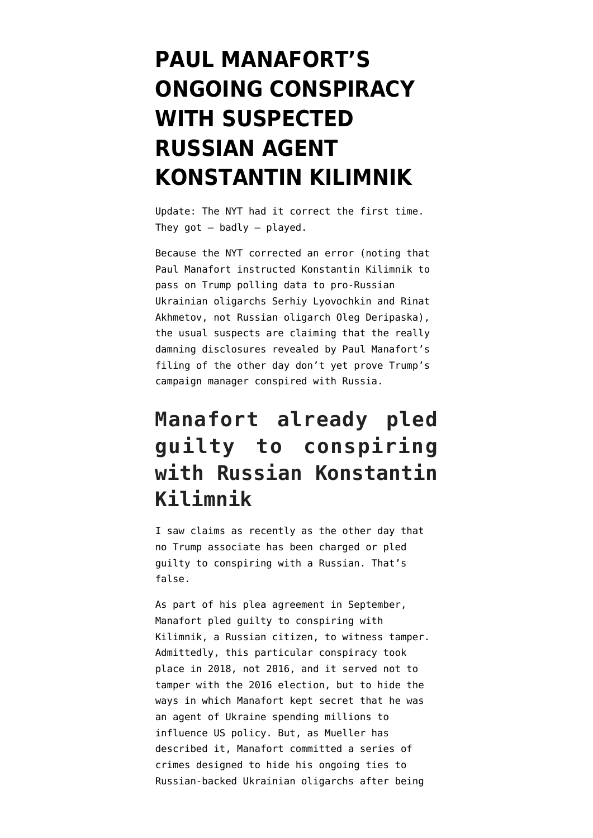# **[PAUL MANAFORT'S](https://www.emptywheel.net/2019/01/10/paul-manaforts-ongoing-conspiracy-with-suspected-russian-agent-konstantin-kilimnik/) [ONGOING CONSPIRACY](https://www.emptywheel.net/2019/01/10/paul-manaforts-ongoing-conspiracy-with-suspected-russian-agent-konstantin-kilimnik/) [WITH SUSPECTED](https://www.emptywheel.net/2019/01/10/paul-manaforts-ongoing-conspiracy-with-suspected-russian-agent-konstantin-kilimnik/) [RUSSIAN AGENT](https://www.emptywheel.net/2019/01/10/paul-manaforts-ongoing-conspiracy-with-suspected-russian-agent-konstantin-kilimnik/) [KONSTANTIN KILIMNIK](https://www.emptywheel.net/2019/01/10/paul-manaforts-ongoing-conspiracy-with-suspected-russian-agent-konstantin-kilimnik/)**

Update: The NYT [had it correct](https://www.emptywheel.net/2019/02/09/paul-manafort-sold-out-donald-trump-and-his-anonymous-leakers-are-lying-about-it-publicly/) the first time. They  $got - badly - played.$ 

Because the NYT [corrected](https://www.nytimes.com/2019/01/08/us/politics/manafort-trump-campaign-data-kilimnik.html) an error (noting that Paul Manafort instructed Konstantin Kilimnik to pass on Trump polling data to pro-Russian Ukrainian oligarchs Serhiy Lyovochkin and Rinat Akhmetov, not Russian oligarch Oleg Deripaska), the usual suspects are claiming that the really damning disclosures revealed by [Paul Manafort's](https://assets.documentcloud.org/documents/5677512/Manafort-20190108-Dc.pdf) [filing](https://assets.documentcloud.org/documents/5677512/Manafort-20190108-Dc.pdf) of the other day don't yet prove Trump's campaign manager conspired with Russia.

### **Manafort already pled guilty to conspiring with Russian Konstantin Kilimnik**

I saw claims as recently as the other day that no Trump associate has been charged or pled guilty to conspiring with a Russian. That's false.

As part of his [plea agreement](https://www.justice.gov/file/1094156/download) in September, Manafort pled guilty to conspiring with Kilimnik, a Russian citizen, to witness tamper. Admittedly, this particular conspiracy took place in 2018, not 2016, and it served not to tamper with the 2016 election, but to hide the ways in which Manafort kept secret that he was an agent of Ukraine spending millions to influence US policy. But, as Mueller has described it, Manafort committed a series of crimes designed to hide his ongoing ties to Russian-backed Ukrainian oligarchs after being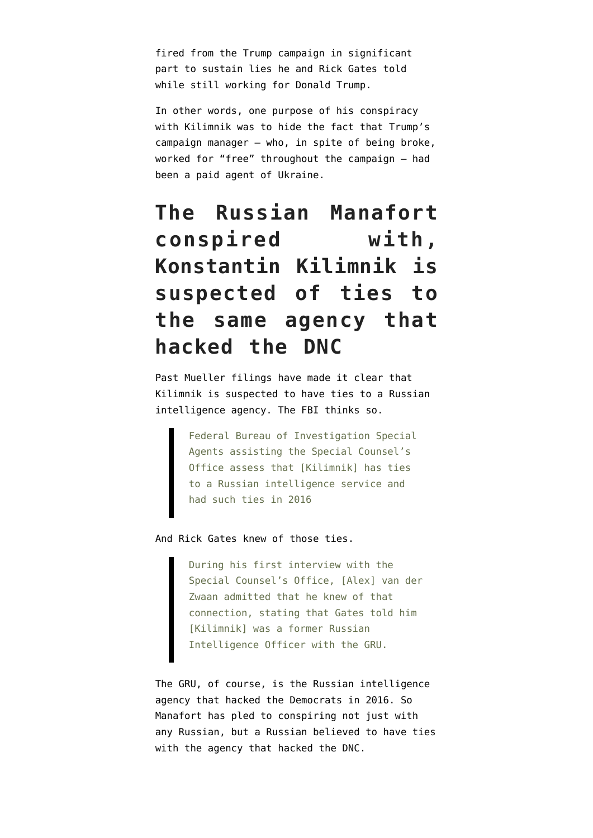fired from the Trump campaign in significant part to sustain lies he and Rick Gates told while still working for Donald Trump.

In other words, one purpose of his conspiracy with Kilimnik was to hide the fact that Trump's campaign manager — who, in spite of being broke, worked for "free" throughout the campaign — had been a paid agent of Ukraine.

# **The Russian Manafort conspired with, Konstantin Kilimnik is suspected of ties to the same agency that hacked the DNC**

Past Mueller filings have made it clear that Kilimnik is suspected to have ties to a Russian intelligence agency. The FBI [thinks so.](https://www.courtlistener.com/recap/gov.uscourts.dcd.193647/gov.uscourts.dcd.193647.19.0.pdf)

> Federal Bureau of Investigation Special Agents assisting the Special Counsel's Office assess that [Kilimnik] has ties to a Russian intelligence service and had such ties in 2016

#### And Rick Gates knew of those ties.

During his first interview with the Special Counsel's Office, [Alex] van der Zwaan admitted that he knew of that connection, stating that Gates told him [Kilimnik] was a former Russian Intelligence Officer with the GRU.

The GRU, of course, is the Russian intelligence agency that hacked the Democrats in 2016. So Manafort has pled to conspiring not just with any Russian, but a Russian believed to have ties with the agency that hacked the DNC.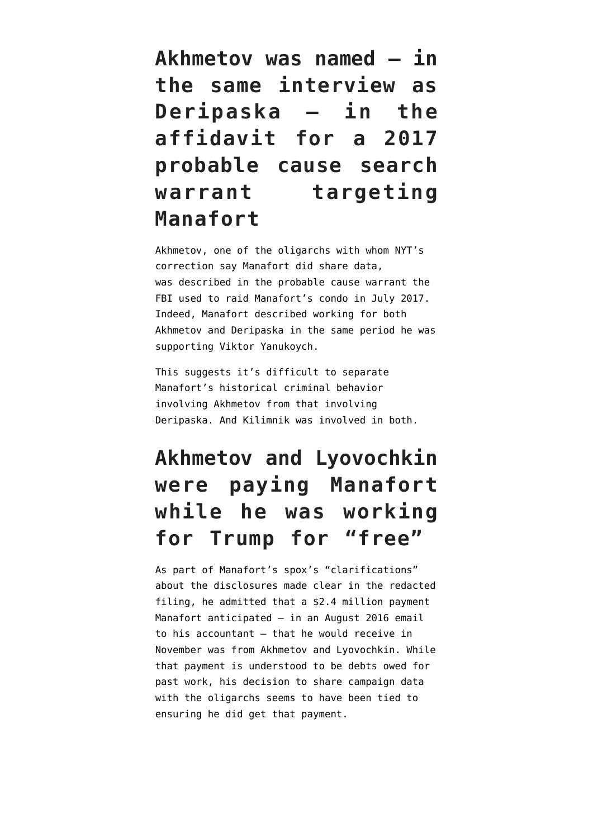**Akhmetov was named — in the same interview as Deripaska — in the affidavit for a 2017 probable cause search warrant targeting Manafort**

Akhmetov, one of the oligarchs with whom NYT's correction say Manafort did share data, was [described](https://www.emptywheel.net/2018/06/28/paul-manaforts-four-oligarch-search-warrant/) in the probable cause warrant the FBI used to raid Manafort's condo in July 2017. Indeed, Manafort described working for both Akhmetov and Deripaska in the same period he was supporting Viktor Yanukoych.

This suggests it's difficult to separate Manafort's historical criminal behavior involving Akhmetov from that involving Deripaska. And Kilimnik was involved in both.

# **Akhmetov and Lyovochkin were paying Manafort while he was working for Trump for "free"**

As part of Manafort's spox's "clarifications" about the disclosures made clear in the redacted filing, he admitted that a \$2.4 million payment Manafort anticipated — in an [August 2016 email](https://www.emptywheel.net/wp-content/uploads/2018/08/175-2016.08.11-Email-C.-Laporta-to-P.-Manafort-re-377-Union-St-loan_Redacted.pdf) to his accountant — that he would receive in November was from Akhmetov and Lyovochkin. While that payment is understood to be debts owed for past work, his decision to share campaign data with the oligarchs seems to have been tied to ensuring he did get that payment.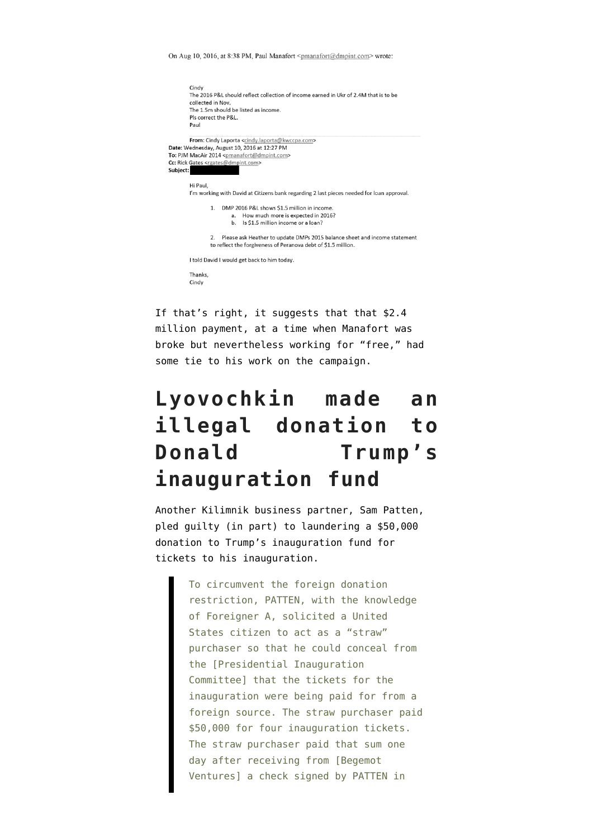On Aug 10, 2016, at 8:38 PM, Paul Manafort <pmanafort@dmpint.com> wrote:

|                                                                                                                                                                                                                                                                          | Cindy<br>The 2016 P&L should reflect collection of income earned in Ukr of 2.4M that is to be<br>collected in Nov.<br>The 1.5m should be listed as income.<br>Pls correct the P&L.<br>Paul |
|--------------------------------------------------------------------------------------------------------------------------------------------------------------------------------------------------------------------------------------------------------------------------|--------------------------------------------------------------------------------------------------------------------------------------------------------------------------------------------|
| From: Cindy Laporta <cindy.laporta@kwccpa.com><br/>Date: Wednesday, August 10, 2016 at 12:27 PM<br/>To: PJM MacAir 2014 <pmanafort@dmpint.com><br/>Cc: Rick Gates <rgates@dmpint.com><br/>Subject:</rgates@dmpint.com></pmanafort@dmpint.com></cindy.laporta@kwccpa.com> |                                                                                                                                                                                            |
|                                                                                                                                                                                                                                                                          | Hi Paul,<br>I'm working with David at Citizens bank regarding 2 last pieces needed for loan approval.                                                                                      |
|                                                                                                                                                                                                                                                                          | DMP 2016 P&L shows \$1.5 million in income.<br>1<br>a. How much more is expected in 2016?<br>b. Is \$1.5 million income or a loan?                                                         |
|                                                                                                                                                                                                                                                                          | Please ask Heather to update DMPs 2015 balance sheet and income statement<br>$\mathfrak{D}$<br>to reflect the forgiveness of Peranova debt of \$1.5 million.                               |
|                                                                                                                                                                                                                                                                          | I told David I would get back to him today.                                                                                                                                                |
|                                                                                                                                                                                                                                                                          | Thanks,<br>Cindy                                                                                                                                                                           |

If that's right, it suggests that that \$2.4 million payment, at a time when Manafort was broke but nevertheless working for "free," had some tie to his work on the campaign.

### **Lyovochkin made an illegal donation to Donald Trump's inauguration fund**

Another Kilimnik business partner, Sam Patten, [pled guilty](https://www.courtlistener.com/recap/gov.uscourts.dcd.199752/gov.uscourts.dcd.199752.7.0_4.pdf) (in part) to laundering a \$50,000 donation to Trump's inauguration fund for tickets to his inauguration.

> To circumvent the foreign donation restriction, PATTEN, with the knowledge of Foreigner A, solicited a United States citizen to act as a "straw" purchaser so that he could conceal from the [Presidential Inauguration Committee] that the tickets for the inauguration were being paid for from a foreign source. The straw purchaser paid \$50,000 for four inauguration tickets. The straw purchaser paid that sum one day after receiving from [Begemot Ventures] a check signed by PATTEN in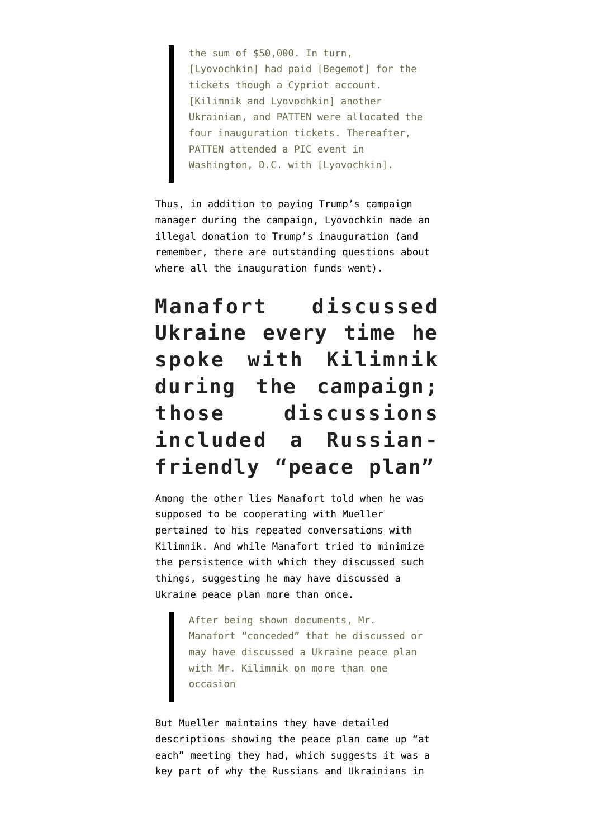the sum of \$50,000. In turn, [Lyovochkin] had paid [Begemot] for the tickets though a Cypriot account. [Kilimnik and Lyovochkin] another Ukrainian, and PATTEN were allocated the four inauguration tickets. Thereafter, PATTEN attended a PIC event in Washington, D.C. with [Lyovochkin].

Thus, in addition to paying Trump's campaign manager during the campaign, Lyovochkin made an illegal donation to Trump's inauguration (and remember, there are outstanding questions about where all the inauguration funds went).

# **Manafort discussed Ukraine every time he spoke with Kilimnik during the campaign; those discussions included a Russianfriendly "peace plan"**

Among the other lies Manafort told when he was supposed to be cooperating with Mueller pertained to his repeated conversations with Kilimnik. And while Manafort tried to minimize the persistence with which they discussed such things, suggesting he may have discussed a Ukraine peace plan more than once.

> After being shown documents, Mr. Manafort "conceded" that he discussed or may have discussed a Ukraine peace plan with Mr. Kilimnik on more than one occasion

But Mueller [maintains](https://www.courtlistener.com/recap/gov.uscourts.dcd.190597/gov.uscourts.dcd.190597.460.0.pdf) they have detailed descriptions showing the peace plan came up "at each" meeting they had, which suggests it was a key part of why the Russians and Ukrainians in